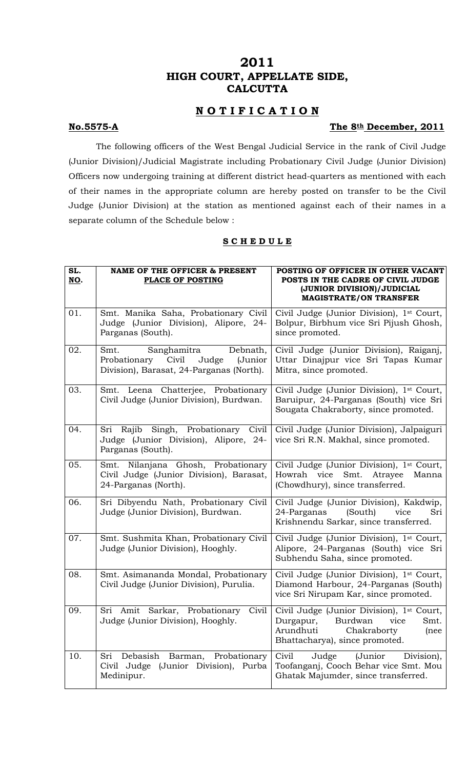# **2011 HIGH COURT, APPELLATE SIDE, CALCUTTA**

## **N O T I F I C A T I O N**

## **No.5575-A** The 8th December, 2011

The following officers of the West Bengal Judicial Service in the rank of Civil Judge (Junior Division)/Judicial Magistrate including Probationary Civil Judge (Junior Division) Officers now undergoing training at different district head-quarters as mentioned with each of their names in the appropriate column are hereby posted on transfer to be the Civil Judge (Junior Division) at the station as mentioned against each of their names in a separate column of the Schedule below :

### **S C H E D U L E**

| SL.<br>NO. | <b>NAME OF THE OFFICER &amp; PRESENT</b><br>PLACE OF POSTING                                                             | POSTING OF OFFICER IN OTHER VACANT<br>POSTS IN THE CADRE OF CIVIL JUDGE<br>(JUNIOR DIVISION)/JUDICIAL<br><b>MAGISTRATE/ON TRANSFER</b>                  |
|------------|--------------------------------------------------------------------------------------------------------------------------|---------------------------------------------------------------------------------------------------------------------------------------------------------|
| 01.        | Smt. Manika Saha, Probationary Civil<br>Judge (Junior Division), Alipore, 24-<br>Parganas (South).                       | Civil Judge (Junior Division), 1st Court,<br>Bolpur, Birbhum vice Sri Pijush Ghosh,<br>since promoted.                                                  |
| 02.        | Smt.<br>Sanghamitra<br>Debnath,<br>Civil<br>Probationary<br>Judge<br>(Junior<br>Division), Barasat, 24-Parganas (North). | Civil Judge (Junior Division), Raiganj,<br>Uttar Dinajpur vice Sri Tapas Kumar<br>Mitra, since promoted.                                                |
| 03.        | Smt. Leena Chatterjee, Probationary<br>Civil Judge (Junior Division), Burdwan.                                           | Civil Judge (Junior Division), 1st Court,<br>Baruipur, 24-Parganas (South) vice Sri<br>Sougata Chakraborty, since promoted.                             |
| 04.        | Sri Rajib Singh, Probationary Civil<br>Judge (Junior Division), Alipore, 24-<br>Parganas (South).                        | Civil Judge (Junior Division), Jalpaiguri<br>vice Sri R.N. Makhal, since promoted.                                                                      |
| 05.        | Nilanjana Ghosh, Probationary<br>Smt.<br>Civil Judge (Junior Division), Barasat,<br>24-Parganas (North).                 | Civil Judge (Junior Division), 1st Court,<br>Smt. Atrayee<br>Howrah vice<br>Manna<br>(Chowdhury), since transferred.                                    |
| 06.        | Sri Dibyendu Nath, Probationary Civil<br>Judge (Junior Division), Burdwan.                                               | Civil Judge (Junior Division), Kakdwip,<br>24-Parganas<br>(South)<br>vice<br>Sri<br>Krishnendu Sarkar, since transferred.                               |
| 07.        | Smt. Sushmita Khan, Probationary Civil<br>Judge (Junior Division), Hooghly.                                              | Civil Judge (Junior Division), 1 <sup>st</sup> Court,<br>Alipore, 24-Parganas (South) vice Sri<br>Subhendu Saha, since promoted.                        |
| 08.        | Smt. Asimananda Mondal, Probationary<br>Civil Judge (Junior Division), Purulia.                                          | Civil Judge (Junior Division), 1st Court,<br>Diamond Harbour, 24-Parganas (South)<br>vice Sri Nirupam Kar, since promoted.                              |
| 09.        | Sri Amit Sarkar, Probationary<br>Civil<br>Judge (Junior Division), Hooghly.                                              | Civil Judge (Junior Division), 1st Court,<br>Burdwan<br>Durgapur,<br>vice<br>Smt.<br>Arundhuti<br>Chakraborty<br>(nee<br>Bhattacharya), since promoted. |
| 10.        | Debasish<br>Barman, Probationary<br>Sri<br>Civil Judge (Junior Division), Purba<br>Medinipur.                            | (Junior<br>Civil<br>Judge<br>Division),<br>Toofanganj, Cooch Behar vice Smt. Mou<br>Ghatak Majumder, since transferred.                                 |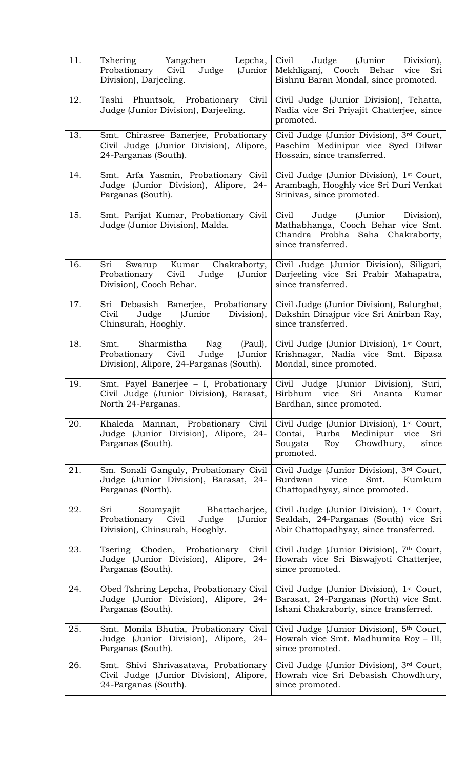| 11. | Tshering<br>Yangchen Lepcha,<br>Judge<br>Probationary Civil<br>(Junior<br>Division), Darjeeling.                        | Civil<br>Judge (Junior<br>Division),<br>Mekhliganj, Cooch Behar<br>vice<br>Sri<br>Bishnu Baran Mondal, since promoted.                       |
|-----|-------------------------------------------------------------------------------------------------------------------------|----------------------------------------------------------------------------------------------------------------------------------------------|
| 12. | Tashi Phuntsok, Probationary Civil<br>Judge (Junior Division), Darjeeling.                                              | Civil Judge (Junior Division), Tehatta,<br>Nadia vice Sri Priyajit Chatterjee, since<br>promoted.                                            |
| 13. | Smt. Chirasree Banerjee, Probationary<br>Civil Judge (Junior Division), Alipore,<br>24-Parganas (South).                | Civil Judge (Junior Division), 3rd Court,<br>Paschim Medinipur vice Syed Dilwar<br>Hossain, since transferred.                               |
| 14. | Smt. Arfa Yasmin, Probationary Civil<br>Judge (Junior Division), Alipore, 24-<br>Parganas (South).                      | Civil Judge (Junior Division), 1 <sup>st</sup> Court,<br>Arambagh, Hooghly vice Sri Duri Venkat<br>Srinivas, since promoted.                 |
| 15. | Smt. Parijat Kumar, Probationary Civil<br>Judge (Junior Division), Malda.                                               | Judge (Junior Division),<br>Civil<br>Mathabhanga, Cooch Behar vice Smt.<br>Chandra Probha Saha Chakraborty,<br>since transferred.            |
| 16. | Swarup Kumar Chakraborty,<br>Sri<br>Probationary Civil<br>Judge<br>(Junior<br>Division), Cooch Behar.                   | Civil Judge (Junior Division), Siliguri,<br>Darjeeling vice Sri Prabir Mahapatra,<br>since transferred.                                      |
| 17. | Sri Debasish Banerjee, Probationary<br>Civil<br>Judge (Junior<br>Division),<br>Chinsurah, Hooghly.                      | Civil Judge (Junior Division), Balurghat,<br>Dakshin Dinajpur vice Sri Anirban Ray,<br>since transferred.                                    |
| 18. | Smt. Sharmistha<br>Nag<br>(Paul),<br>Probationary Civil<br>Judge<br>(Junior<br>Division), Alipore, 24-Parganas (South). | Civil Judge (Junior Division), 1st Court,<br>Krishnagar, Nadia vice Smt. Bipasa<br>Mondal, since promoted.                                   |
| 19. | Smt. Payel Banerjee - I, Probationary<br>Civil Judge (Junior Division), Barasat,<br>North 24-Parganas.                  | Civil Judge (Junior Division), Suri,<br>Birbhum vice Sri Ananta Kumar<br>Bardhan, since promoted.                                            |
| 20. | Khaleda Mannan, Probationary<br>Civil<br>Judge (Junior Division), Alipore, 24-<br>Parganas (South).                     | Civil Judge (Junior Division), 1st Court,<br>Contai, Purba<br>Medinipur<br>vice<br>Sri<br>Sougata<br>Chowdhury,<br>Roy<br>since<br>promoted. |
| 21. | Sm. Sonali Ganguly, Probationary Civil<br>Judge (Junior Division), Barasat, 24-<br>Parganas (North).                    | Civil Judge (Junior Division), 3rd Court,<br>Burdwan<br>vice<br>Smt.<br>Kumkum<br>Chattopadhyay, since promoted.                             |
| 22. | Sri<br>Bhattacharjee,<br>Soumyajit<br>Probationary<br>Civil<br>Judge<br>(Junior<br>Division), Chinsurah, Hooghly.       | Civil Judge (Junior Division), 1st Court,<br>Sealdah, 24-Parganas (South) vice Sri<br>Abir Chattopadhyay, since transferred.                 |
| 23. | Tsering Choden, Probationary Civil<br>Judge (Junior Division), Alipore, 24-<br>Parganas (South).                        | Civil Judge (Junior Division), 7th Court,<br>Howrah vice Sri Biswajyoti Chatterjee,<br>since promoted.                                       |
| 24. | Obed Tshring Lepcha, Probationary Civil<br>Judge (Junior Division), Alipore, 24-<br>Parganas (South).                   | Civil Judge (Junior Division), 1st Court,<br>Barasat, 24-Parganas (North) vice Smt.<br>Ishani Chakraborty, since transferred.                |
| 25. | Smt. Monila Bhutia, Probationary Civil<br>Judge (Junior Division), Alipore, 24-<br>Parganas (South).                    | Civil Judge (Junior Division), 5th Court,<br>Howrah vice Smt. Madhumita Roy - III,<br>since promoted.                                        |
| 26. | Smt. Shivi Shrivasatava, Probationary<br>Civil Judge (Junior Division), Alipore,<br>24-Parganas (South).                | Civil Judge (Junior Division), 3rd Court,<br>Howrah vice Sri Debasish Chowdhury,<br>since promoted.                                          |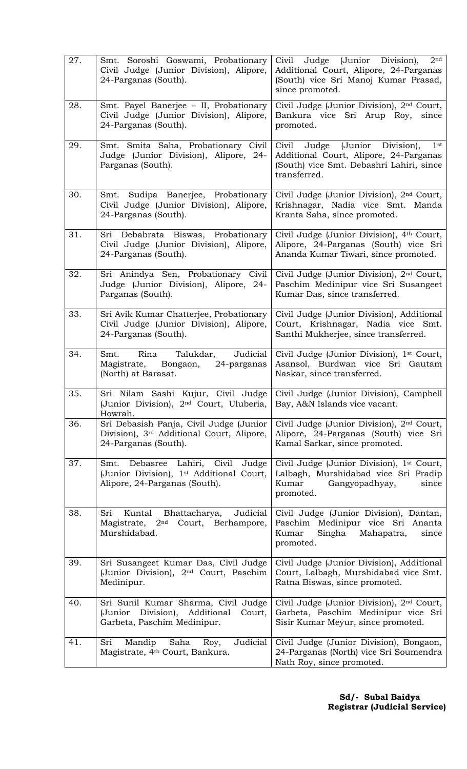| 27. | Smt. Soroshi Goswami, Probationary<br>Civil Judge (Junior Division), Alipore,<br>24-Parganas (South).                         | Civil Judge (Junior Division),<br>2 <sup>nd</sup><br>Additional Court, Alipore, 24-Parganas<br>(South) vice Sri Manoj Kumar Prasad,<br>since promoted. |
|-----|-------------------------------------------------------------------------------------------------------------------------------|--------------------------------------------------------------------------------------------------------------------------------------------------------|
| 28. | Smt. Payel Banerjee - II, Probationary<br>Civil Judge (Junior Division), Alipore,<br>24-Parganas (South).                     | Civil Judge (Junior Division), 2 <sup>nd</sup> Court,<br>Bankura vice Sri Arup Roy,<br>since<br>promoted.                                              |
| 29. | Smt. Smita Saha, Probationary Civil<br>Judge (Junior Division), Alipore, 24-<br>Parganas (South).                             | Civil Judge (Junior Division),<br>$1$ st<br>Additional Court, Alipore, 24-Parganas<br>(South) vice Smt. Debashri Lahiri, since<br>transferred.         |
| 30. | Smt. Sudipa Banerjee, Probationary<br>Civil Judge (Junior Division), Alipore,<br>24-Parganas (South).                         | Civil Judge (Junior Division), 2 <sup>nd</sup> Court,<br>Krishnagar, Nadia vice Smt. Manda<br>Kranta Saha, since promoted.                             |
| 31. | Sri Debabrata Biswas, Probationary<br>Civil Judge (Junior Division), Alipore,<br>24-Parganas (South).                         | Civil Judge (Junior Division), 4th Court,<br>Alipore, 24-Parganas (South) vice Sri<br>Ananda Kumar Tiwari, since promoted.                             |
| 32. | Sri Anindya Sen, Probationary Civil<br>Judge (Junior Division), Alipore, 24-<br>Parganas (South).                             | Civil Judge (Junior Division), 2nd Court,<br>Paschim Medinipur vice Sri Susangeet<br>Kumar Das, since transferred.                                     |
| 33. | Sri Avik Kumar Chatterjee, Probationary<br>Civil Judge (Junior Division), Alipore,<br>24-Parganas (South).                    | Civil Judge (Junior Division), Additional<br>Court, Krishnagar, Nadia vice Smt.<br>Santhi Mukherjee, since transferred.                                |
| 34. | Rina Talukdar,<br>Judicial<br>Smt.<br>Bongaon, 24-parganas<br>Magistrate,<br>(North) at Barasat.                              | Civil Judge (Junior Division), 1st Court,<br>Asansol, Burdwan vice Sri Gautam<br>Naskar, since transferred.                                            |
| 35. | (Junior Division), 2 <sup>nd</sup> Court, Uluberia,<br>Howrah.                                                                | Sri Nilam Sashi Kujur, Civil Judge Civil Judge (Junior Division), Campbell<br>Bay, A&N Islands vice vacant.                                            |
| 36. | Sri Debasish Panja, Civil Judge (Junior<br>Division), 3 <sup>rd</sup> Additional Court, Alipore,<br>24-Parganas (South).      | Civil Judge (Junior Division), 2nd Court,<br>Alipore, 24-Parganas (South) vice Sri<br>Kamal Sarkar, since promoted.                                    |
| 37. | Smt. Debasree Lahiri, Civil<br>Judge<br>(Junior Division), 1 <sup>st</sup> Additional Court,<br>Alipore, 24-Parganas (South). | Civil Judge (Junior Division), 1st Court,<br>Lalbagh, Murshidabad vice Sri Pradip<br>Kumar<br>Gangyopadhyay,<br>since<br>promoted.                     |
| 38. | Judicial<br>Sri<br>Kuntal Bhattacharya,<br>Magistrate, 2 <sup>nd</sup> Court, Berhampore,<br>Murshidabad.                     | Civil Judge (Junior Division), Dantan,<br>Paschim Medinipur vice Sri Ananta<br>Kumar<br>Singha<br>Mahapatra,<br>since<br>promoted.                     |
| 39. | Sri Susangeet Kumar Das, Civil Judge<br>(Junior Division), 2 <sup>nd</sup> Court, Paschim<br>Medinipur.                       | Civil Judge (Junior Division), Additional<br>Court, Lalbagh, Murshidabad vice Smt.<br>Ratna Biswas, since promoted.                                    |
| 40. | Sri Sunil Kumar Sharma, Civil Judge<br>Division), Additional<br>(Junior<br>Court,<br>Garbeta, Paschim Medinipur.              | Civil Judge (Junior Division), 2nd Court,<br>Garbeta, Paschim Medinipur vice Sri<br>Sisir Kumar Meyur, since promoted.                                 |
| 41. | Judicial<br>Sri<br>Mandip<br>Saha<br>Roy,<br>Magistrate, 4 <sup>th</sup> Court, Bankura.                                      | Civil Judge (Junior Division), Bongaon,<br>24-Parganas (North) vice Sri Soumendra<br>Nath Roy, since promoted.                                         |